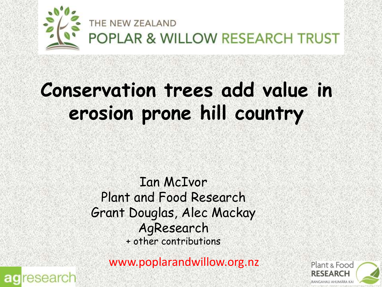

## **Conservation trees add value in erosion prone hill country**

Ian McIvor Plant and Food Research Grant Douglas, Alec Mackay AgResearch + other contributions

www.poplarandwillow.org.nz



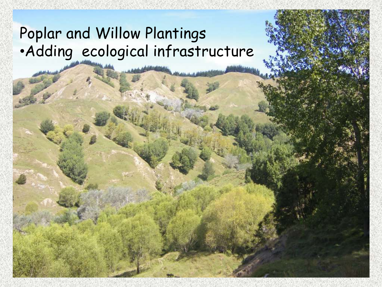#### Poplar and Willow Plantings •Adding ecological infrastructure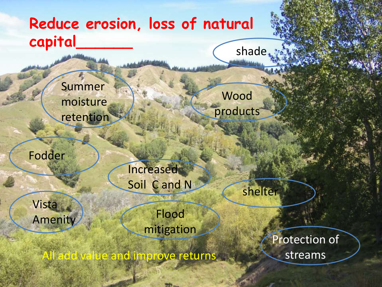#### **Reduce erosion, loss of natural capital\_\_\_\_\_\_** shade

Summer moisture retention

Fodder

**Increased** Soil C and N

Vista Amenity

Flood mitigation

All add value and improve returns

Wood

products

shelter

Protection of streams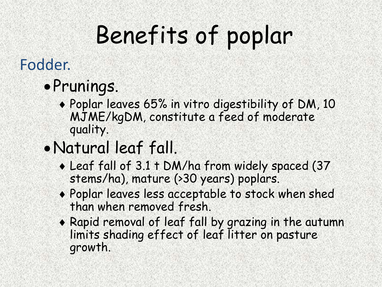# Benefits of poplar

#### Fodder.

### Prunings.

- Poplar leaves 65% in vitro digestibility of DM, 10 MJME/kgDM, constitute a feed of moderate quality.
- Natural leaf fall.
	- Leaf fall of 3.1 t DM/ha from widely spaced (37 stems/ha), mature (>30 years) poplars.
	- Poplar leaves less acceptable to stock when shed than when removed fresh.
	- Rapid removal of leaf fall by grazing in the autumn limits shading effect of leaf litter on pasture growth.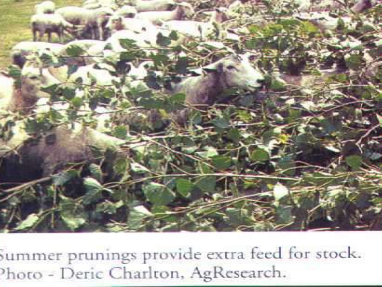

summer prunings provide extra feed for stock. hoto - Deric Charlton, AgResearch.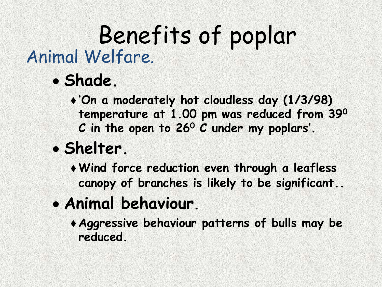### Animal Welfare. Benefits of poplar

**Shade.**

**'On a moderately hot cloudless day (1/3/98) temperature at 1.00 pm was reduced from 39<sup>0</sup> C in the open to 26<sup>0</sup> C under my poplars'.**

- **Shelter.**
	- **Wind force reduction even through a leafless canopy of branches is likely to be significant..**
- **Animal behaviour.**
	- **Aggressive behaviour patterns of bulls may be reduced.**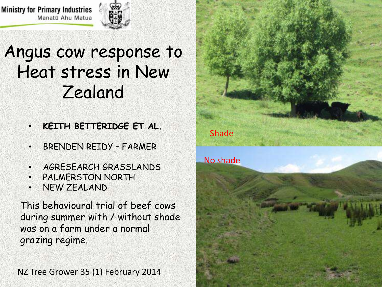**Ministry for Primary Industries** Manatū Ahu Matua



#### Angus cow response to Heat stress in New Zealand

- **KEITH BETTERIDGE ET AL.**
- BRENDEN REIDY FARMER
- AGRESEARCH GRASSLANDS
- **PALMERSTON NORTH**
- NEW ZEALAND

This behavioural trial of beef cows during summer with / without shade was on a farm under a normal grazing regime.

NZ Tree Grower 35 (1) February 2014

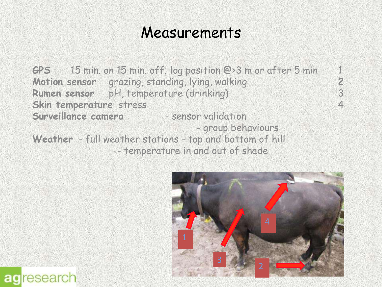#### Measurements

**GPS** 15 min. on 15 min. off; log position @>3 m or after 5 min 1<br>Motion sensor grazing, standing, lying, walking **Motion sensor** grazing, standing, lying, walking<br> **Rumen sensor** pH, temperature (drinking) 3 **Rumen sensor** pH, temperature (drinking) 3 **Skin temperature** stress 4 **Surveillance camera** - sensor validation - group behaviours **Weather** - full weather stations - top and bottom of hill - temperature in and out of shade

agresearch

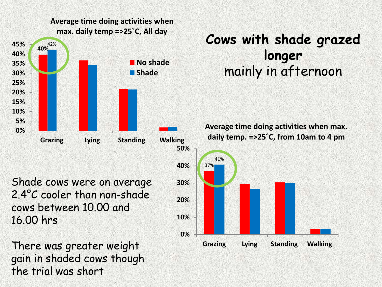

gain in shaded cows though

the trial was short

#### **Cows with shade grazed longer** mainly in afternoon

41% **Grazing Lying Standing Walking Average time doing activities when max. daily temp. =>25˚C, from 10am to 4 pm**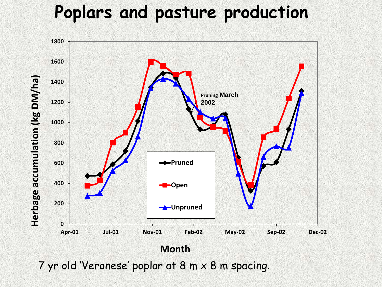#### **Poplars and pasture production**



7 yr old 'Veronese' poplar at 8 m x 8 m spacing.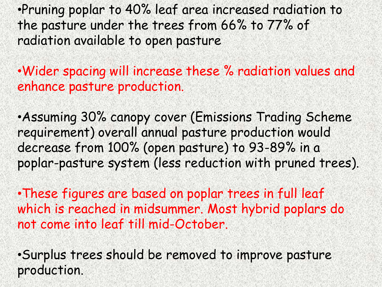•Pruning poplar to 40% leaf area increased radiation to the pasture under the trees from 66% to 77% of radiation available to open pasture

•Wider spacing will increase these % radiation values and enhance pasture production.

•Assuming 30% canopy cover (Emissions Trading Scheme requirement) overall annual pasture production would decrease from 100% (open pasture) to 93-89% in a poplar-pasture system (less reduction with pruned trees).

•These figures are based on poplar trees in full leaf which is reached in midsummer. Most hybrid poplars do not come into leaf till mid-October.

•Surplus trees should be removed to improve pasture production.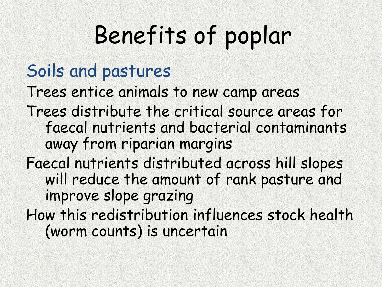# Benefits of poplar

### Soils and pastures

Trees entice animals to new camp areas

- Trees distribute the critical source areas for faecal nutrients and bacterial contaminants away from riparian margins
- Faecal nutrients distributed across hill slopes will reduce the amount of rank pasture and improve slope grazing
- How this redistribution influences stock health (worm counts) is uncertain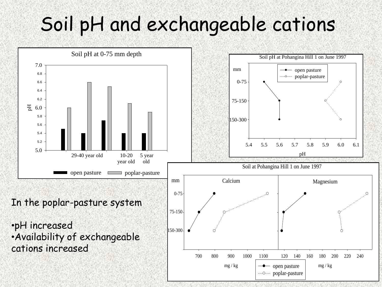# Soil pH and exchangeable cations

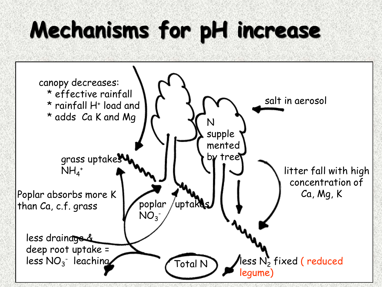# **Mechanisms for pH increase**

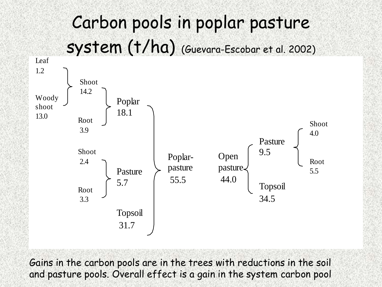### Carbon pools in poplar pasture system (t/ha) (Guevara-Escobar et al. 2002)



Gains in the carbon pools are in the trees with reductions in the soil and pasture pools. Overall effect is a gain in the system carbon pool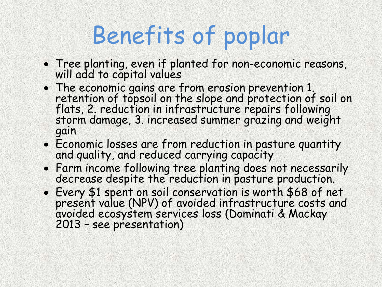# Benefits of poplar

- Tree planting, even if planted for non-economic reasons, will add to capital values
- The economic gains are from erosion prevention 1. retention of topsoil on the slope and protection of soil on flats, 2. reduction in infrastructure repairs following storm damage, 3. increased summer grazing and weight gain
- Economic losses are from reduction in pasture quantity and quality, and reduced carrying capacity
- Farm income following tree planting does not necessarily decrease despite the reduction in pasture production.
- Every \$1 spent on soil conservation is worth \$68 of net present value (NPV) of avoided infrastructure costs and avoided ecosystem services loss (Dominati & Mackay 2013 – see presentation)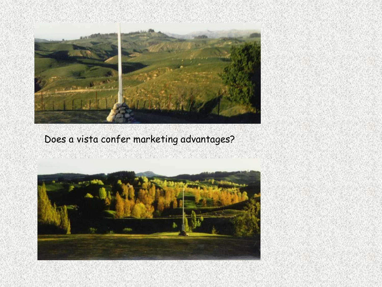PLOYEN A LEVEL AND A<br>Martin Company and Alberta 



#### Does a vista confer marketing advantages?